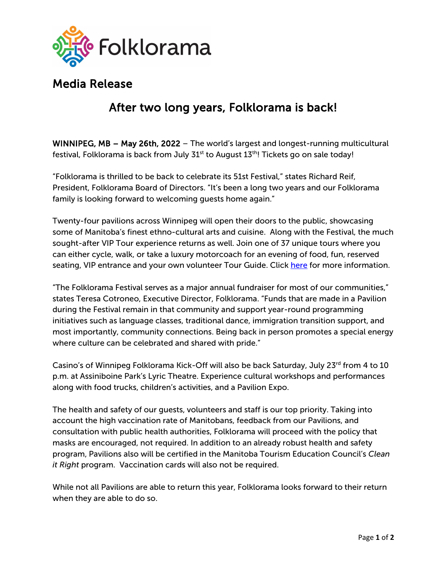

## Media Release

## After two long years, Folklorama is back!

WINNIPEG, MB – May 26th, 2022 – The world's largest and longest-running multicultural festival, Folklorama is back from July  $31<sup>st</sup>$  to August  $13<sup>th</sup>$ ! Tickets go on sale today!

"Folklorama is thrilled to be back to celebrate its 51st Festival," states Richard Reif, President, Folklorama Board of Directors. "It's been a long two years and our Folklorama family is looking forward to welcoming guests home again."

Twenty-four pavilions across Winnipeg will open their doors to the public, showcasing some of Manitoba's finest ethno-cultural arts and cuisine. Along with the Festival, the much sought-after VIP Tour experience returns as well. Join one of 37 unique tours where you can either cycle, walk, or take a luxury motorcoach for an evening of food, fun, reserved seating, VIP entrance and your own volunteer Tour Guide. Click [here](https://folklorama.ca/festival/group-tours/) for more information.

"The Folklorama Festival serves as a major annual fundraiser for most of our communities," states Teresa Cotroneo, Executive Director, Folklorama. "Funds that are made in a Pavilion during the Festival remain in that community and support year-round programming initiatives such as language classes, traditional dance, immigration transition support, and most importantly, community connections. Being back in person promotes a special energy where culture can be celebrated and shared with pride."

Casino's of Winnipeg Folklorama Kick-Off will also be back Saturday, July 23<sup>rd</sup> from 4 to 10 p.m. at Assiniboine Park's Lyric Theatre. Experience cultural workshops and performances along with food trucks, children's activities, and a Pavilion Expo.

The health and safety of our guests, volunteers and staff is our top priority. Taking into account the high vaccination rate of Manitobans, feedback from our Pavilions, and consultation with public health authorities, Folklorama will proceed with the policy that masks are encouraged, not required. In addition to an already robust health and safety program, Pavilions also will be certified in the Manitoba Tourism Education Council's *Clean it Right* program. Vaccination cards will also not be required.

While not all Pavilions are able to return this year, Folklorama looks forward to their return when they are able to do so.